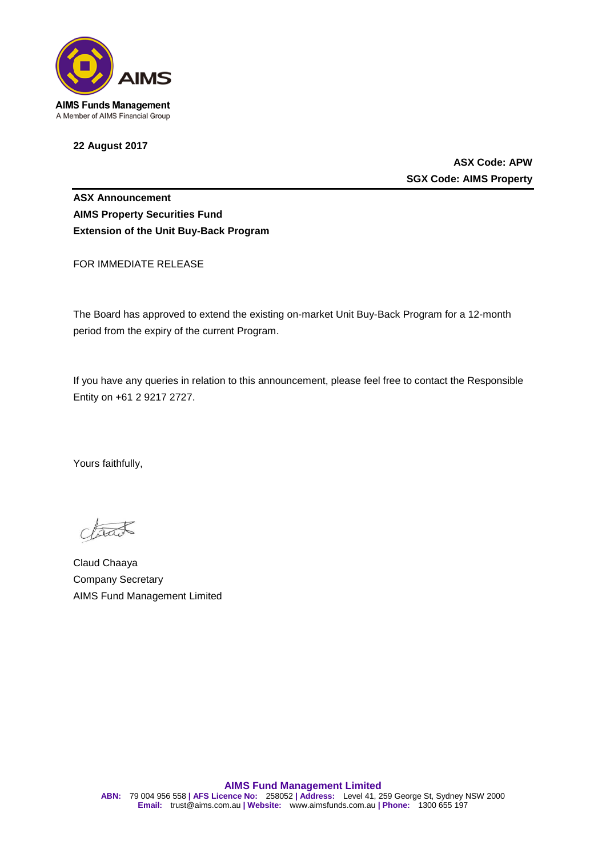

**22 August 2017**

**ASX Code: APW SGX Code: AIMS Property**

**ASX Announcement AIMS Property Securities Fund Extension of the Unit Buy-Back Program**

FOR IMMEDIATE RELEASE

The Board has approved to extend the existing on-market Unit Buy-Back Program for a 12-month period from the expiry of the current Program.

If you have any queries in relation to this announcement, please feel free to contact the Responsible Entity on +61 2 9217 2727.

Yours faithfully,

Claud Chaaya Company Secretary AIMS Fund Management Limited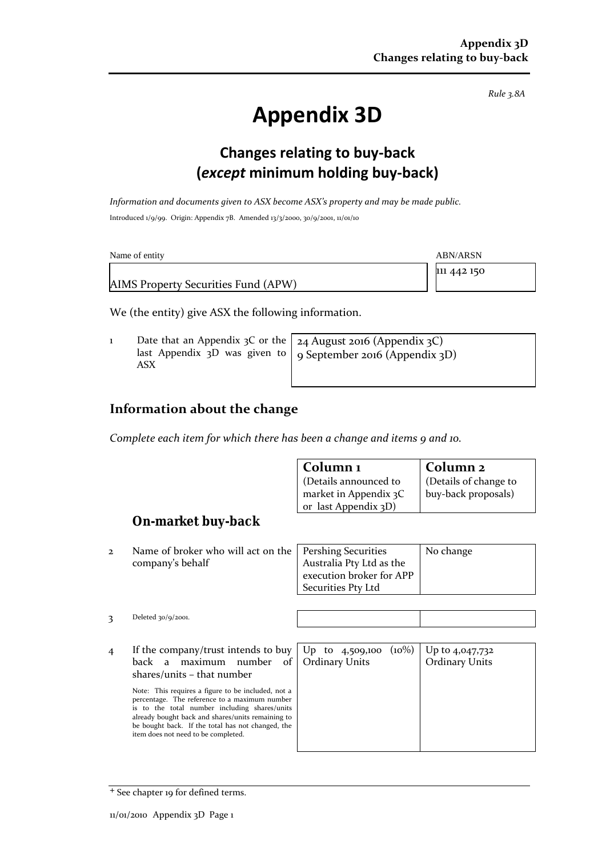$\int$  $C_{\Omega}$  $\lim$  $\left| \right|$ 

*Rule 3.8A*

# **Appendix 3D**

### **Changes relating to buy-back (***except* **minimum holding buy-back)**

*Information and documents given to ASX become ASX's property and may be made public.* Introduced 1/9/99. Origin: Appendix 7B. Amended 13/3/2000, 30/9/2001, 11/01/10

| Name of entity                      | ABN/ARSN    |
|-------------------------------------|-------------|
|                                     | 111 442 150 |
| AIMS Property Securities Fund (APW) |             |

We (the entity) give ASX the following information.

| Date that an Appendix 3C or the $\vert$ 24 August 2016 (Appendix 3C)<br>last Appendix 3D was given to $\int$ 9 September 2016 (Appendix 3D)<br>ASX |  |
|----------------------------------------------------------------------------------------------------------------------------------------------------|--|
|----------------------------------------------------------------------------------------------------------------------------------------------------|--|

**Column 1**

#### **Information about the change**

*Complete each item for which there has been a change and items 9 and 10.*

|                                                    | Commun i                                                                                                                                                                                                                                                                 | Сопини 4                                                                                                                                                                        |
|----------------------------------------------------|--------------------------------------------------------------------------------------------------------------------------------------------------------------------------------------------------------------------------------------------------------------------------|---------------------------------------------------------------------------------------------------------------------------------------------------------------------------------|
|                                                    |                                                                                                                                                                                                                                                                          | (Details of change to                                                                                                                                                           |
|                                                    |                                                                                                                                                                                                                                                                          | buy-back proposals)                                                                                                                                                             |
|                                                    |                                                                                                                                                                                                                                                                          |                                                                                                                                                                                 |
|                                                    |                                                                                                                                                                                                                                                                          |                                                                                                                                                                                 |
|                                                    |                                                                                                                                                                                                                                                                          |                                                                                                                                                                                 |
|                                                    |                                                                                                                                                                                                                                                                          |                                                                                                                                                                                 |
|                                                    |                                                                                                                                                                                                                                                                          | No change                                                                                                                                                                       |
| company's behalf                                   | Australia Pty Ltd as the                                                                                                                                                                                                                                                 |                                                                                                                                                                                 |
|                                                    |                                                                                                                                                                                                                                                                          |                                                                                                                                                                                 |
|                                                    |                                                                                                                                                                                                                                                                          |                                                                                                                                                                                 |
|                                                    |                                                                                                                                                                                                                                                                          |                                                                                                                                                                                 |
|                                                    |                                                                                                                                                                                                                                                                          |                                                                                                                                                                                 |
| Deleted $30/q/2001$ .                              |                                                                                                                                                                                                                                                                          |                                                                                                                                                                                 |
|                                                    |                                                                                                                                                                                                                                                                          |                                                                                                                                                                                 |
|                                                    |                                                                                                                                                                                                                                                                          |                                                                                                                                                                                 |
| If the company/trust intends to buy                | $(10\%)$<br>$Up$ to<br>4,509,100                                                                                                                                                                                                                                         | Up to 4,047,732                                                                                                                                                                 |
| back<br>a                                          |                                                                                                                                                                                                                                                                          | <b>Ordinary Units</b>                                                                                                                                                           |
|                                                    |                                                                                                                                                                                                                                                                          |                                                                                                                                                                                 |
|                                                    |                                                                                                                                                                                                                                                                          |                                                                                                                                                                                 |
| Note: This requires a figure to be included, not a |                                                                                                                                                                                                                                                                          |                                                                                                                                                                                 |
|                                                    |                                                                                                                                                                                                                                                                          |                                                                                                                                                                                 |
|                                                    |                                                                                                                                                                                                                                                                          |                                                                                                                                                                                 |
| be bought back. If the total has not changed, the  |                                                                                                                                                                                                                                                                          |                                                                                                                                                                                 |
|                                                    |                                                                                                                                                                                                                                                                          |                                                                                                                                                                                 |
|                                                    | On-market buy-back<br>Name of broker who will act on the<br>maximum<br>number<br>of<br>shares/units – that number<br>percentage. The reference to a maximum number<br>is to the total number including shares/units<br>already bought back and shares/units remaining to | (Details announced to<br>market in Appendix 3C<br>or last Appendix 3D)<br><b>Pershing Securities</b><br>execution broker for APP<br>Securities Pty Ltd<br><b>Ordinary Units</b> |

<sup>+</sup> See chapter 19 for defined terms.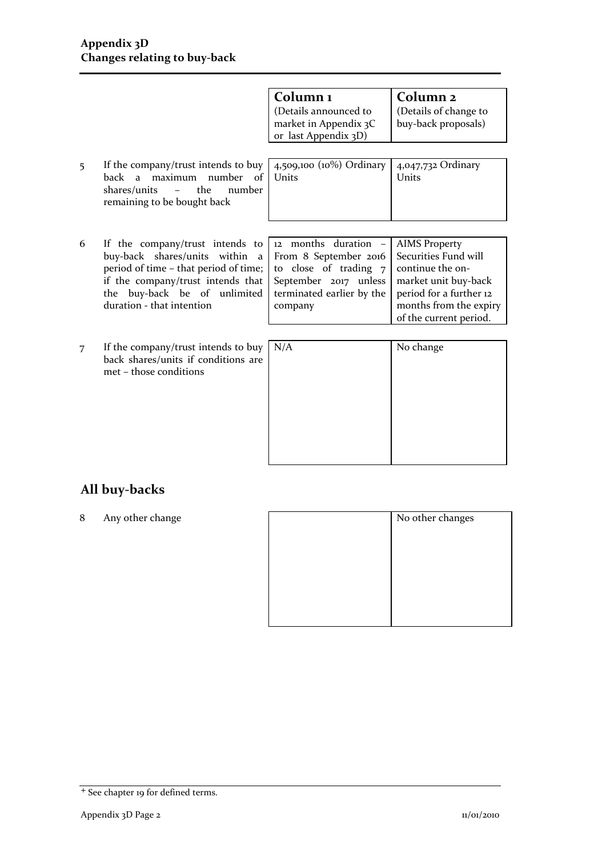|   |                                                                                                                                                                                                                                 | Column <sub>1</sub><br>(Details announced to<br>market in Appendix 3C<br>or last Appendix 3D)                                           | Column <sub>2</sub><br>(Details of change to<br>buy-back proposals)                                                                                                     |
|---|---------------------------------------------------------------------------------------------------------------------------------------------------------------------------------------------------------------------------------|-----------------------------------------------------------------------------------------------------------------------------------------|-------------------------------------------------------------------------------------------------------------------------------------------------------------------------|
| 5 | If the company/trust intends to buy<br>maximum number of<br>back a<br>the<br>shares/units<br>number<br>$\equiv$<br>remaining to be bought back                                                                                  | 4,509,100 ( $10\%$ ) Ordinary<br>Units                                                                                                  | 4,047,732 Ordinary<br>Units                                                                                                                                             |
|   |                                                                                                                                                                                                                                 |                                                                                                                                         |                                                                                                                                                                         |
| 6 | If the company/trust intends to<br>buy-back shares/units within<br>$\overline{a}$<br>period of time - that period of time;<br>if the company/trust intends that<br>buy-back be of unlimited<br>the<br>duration - that intention | 12 months duration -<br>From 8 September 2016<br>to close of trading 7<br>September 2017 unless<br>terminated earlier by the<br>company | <b>AIMS Property</b><br>Securities Fund will<br>continue the on-<br>market unit buy-back<br>period for a further 12<br>months from the expiry<br>of the current period. |
| 7 | If the company/trust intends to buy<br>back shares/units if conditions are<br>met – those conditions                                                                                                                            | N/A                                                                                                                                     | No change                                                                                                                                                               |

## **All buy-backs**

8 Any other change

<sup>+</sup> See chapter 19 for defined terms.